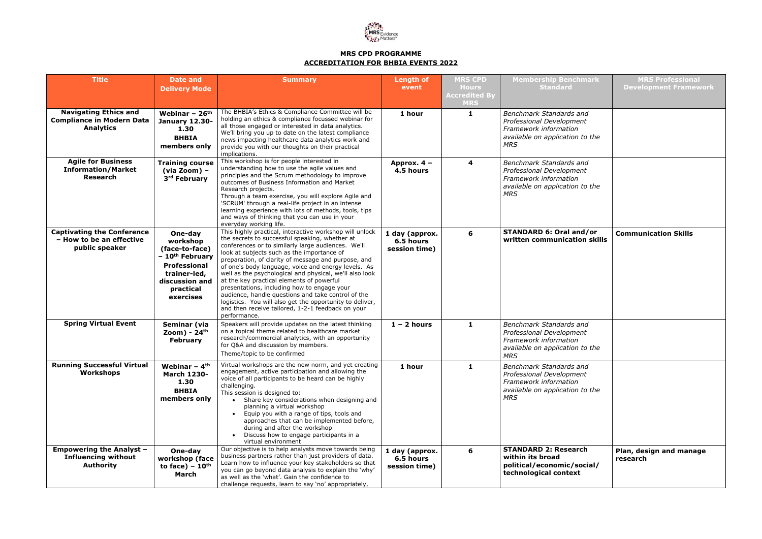

## **MRS CPD PROGRAMME ACCREDITATION FOR BHBIA EVENTS 2022**

| <b>Title</b>                                                                         | <b>Date and</b>                                                                                                                                         | <b>Summary</b>                                                                                                                                                                                                                                                                                                                                                                                                                                                                                                                                                                                                                                                            | <b>Length of</b>                             | <b>MRS CPD</b>                       | <b>Membership Benchmark</b>                                                                                                          |
|--------------------------------------------------------------------------------------|---------------------------------------------------------------------------------------------------------------------------------------------------------|---------------------------------------------------------------------------------------------------------------------------------------------------------------------------------------------------------------------------------------------------------------------------------------------------------------------------------------------------------------------------------------------------------------------------------------------------------------------------------------------------------------------------------------------------------------------------------------------------------------------------------------------------------------------------|----------------------------------------------|--------------------------------------|--------------------------------------------------------------------------------------------------------------------------------------|
|                                                                                      | <b>Delivery Mode</b>                                                                                                                                    |                                                                                                                                                                                                                                                                                                                                                                                                                                                                                                                                                                                                                                                                           | event                                        | <b>Hours</b><br><b>Accredited By</b> | <b>Standard</b>                                                                                                                      |
|                                                                                      |                                                                                                                                                         |                                                                                                                                                                                                                                                                                                                                                                                                                                                                                                                                                                                                                                                                           |                                              | <b>MRS</b>                           |                                                                                                                                      |
| <b>Navigating Ethics and</b><br><b>Compliance in Modern Data</b><br><b>Analytics</b> | Webinar - $26th$<br><b>January 12.30-</b><br>1.30<br><b>BHBIA</b><br>members only                                                                       | The BHBIA's Ethics & Compliance Committee will be<br>holding an ethics & compliance focussed webinar for<br>all those engaged or interested in data analytics.<br>We'll bring you up to date on the latest compliance<br>news impacting healthcare data analytics work and<br>provide you with our thoughts on their practical<br>implications.                                                                                                                                                                                                                                                                                                                           | 1 hour                                       | $\mathbf{1}$                         | Benchmark Standards and<br>Professional Development<br>Framework information<br>available on application to the<br><b>MRS</b>        |
| <b>Agile for Business</b><br><b>Information/Market</b><br>Research                   | <b>Training course</b><br>$(via Zoom)$ -<br>3rd February                                                                                                | This workshop is for people interested in<br>understanding how to use the agile values and<br>principles and the Scrum methodology to improve<br>outcomes of Business Information and Market<br>Research projects.<br>Through a team exercise, you will explore Agile and<br>'SCRUM' through a real-life project in an intense<br>learning experience with lots of methods, tools, tips<br>and ways of thinking that you can use in your<br>everyday working life.                                                                                                                                                                                                        | Approx. 4 -<br>4.5 hours                     | 4                                    | <b>Benchmark Standards and</b><br>Professional Development<br>Framework information<br>available on application to the<br><b>MRS</b> |
| <b>Captivating the Conference</b><br>- How to be an effective<br>public speaker      | One-day<br>workshop<br>(face-to-face)<br>- 10 <sup>th</sup> February<br><b>Professional</b><br>trainer-led,<br>discussion and<br>practical<br>exercises | This highly practical, interactive workshop will unlock<br>the secrets to successful speaking, whether at<br>conferences or to similarly large audiences. We'll<br>look at subjects such as the importance of<br>preparation, of clarity of message and purpose, and<br>of one's body language, voice and energy levels. As<br>well as the psychological and physical, we'll also look<br>at the key practical elements of powerful<br>presentations, including how to engage your<br>audience, handle questions and take control of the<br>logistics. You will also get the opportunity to deliver,<br>and then receive tailored, 1-2-1 feedback on your<br>performance. | 1 day (approx.<br>6.5 hours<br>session time) | 6                                    | <b>STANDARD 6: Oral and/or</b><br>written communication skills                                                                       |
| <b>Spring Virtual Event</b>                                                          | Seminar (via<br>Zoom) - $24th$<br><b>February</b>                                                                                                       | Speakers will provide updates on the latest thinking<br>on a topical theme related to healthcare market<br>research/commercial analytics, with an opportunity<br>for Q&A and discussion by members.<br>Theme/topic to be confirmed                                                                                                                                                                                                                                                                                                                                                                                                                                        | $1 - 2$ hours                                | $\mathbf{1}$                         | <b>Benchmark Standards and</b><br>Professional Development<br>Framework information<br>available on application to the<br><b>MRS</b> |
| <b>Running Successful Virtual</b><br>Workshops                                       | Webinar $-4$ <sup>th</sup><br><b>March 1230-</b><br>1.30<br><b>BHBIA</b><br>members only                                                                | Virtual workshops are the new norm, and yet creating<br>engagement, active participation and allowing the<br>voice of all participants to be heard can be highly<br>challenging.<br>This session is designed to:<br>Share key considerations when designing and<br>$\bullet$<br>planning a virtual workshop<br>Equip you with a range of tips, tools and<br>approaches that can be implemented before,<br>during and after the workshop<br>Discuss how to engage participants in a<br>virtual environment                                                                                                                                                                 | 1 hour                                       | 1                                    | Benchmark Standards and<br>Professional Development<br>Framework information<br>available on application to the<br><b>MRS</b>        |
| <b>Empowering the Analyst -</b><br><b>Influencing without</b><br><b>Authority</b>    | One-day<br>workshop (face<br>to face) $-10th$<br>March                                                                                                  | Our objective is to help analysts move towards being<br>business partners rather than just providers of data.<br>Learn how to influence your key stakeholders so that<br>you can go beyond data analysis to explain the 'why'<br>as well as the 'what'. Gain the confidence to<br>challenge requests, learn to say 'no' appropriately,                                                                                                                                                                                                                                                                                                                                    | 1 day (approx.<br>6.5 hours<br>session time) | 6                                    | <b>STANDARD 2: Research</b><br>within its broad<br>political/economic/social/<br>technological context                               |

| <u>hmark</u>                 | <b>MRS Professional</b><br><b>Development Framework</b> |
|------------------------------|---------------------------------------------------------|
| and<br>ent<br>7<br>n to the  |                                                         |
| and<br>ent<br>J.<br>n to the |                                                         |
| nd/or<br>ion skills          | <b>Communication Skills</b>                             |
| and<br>ent<br>J.<br>n to the |                                                         |
| and<br>ent<br>J<br>n to the  |                                                         |
| rch<br>social/<br>d.         | Plan, design and manage<br>research                     |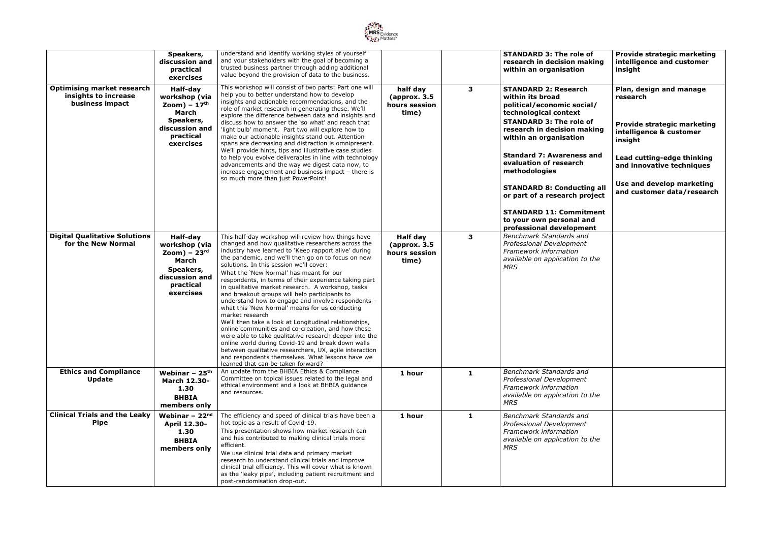

|                                                                              | Speakers,<br>discussion and<br>practical<br>exercises                                                                            | understand and identify working styles of yourself<br>and your stakeholders with the goal of becoming a<br>trusted business partner through adding additional<br>value beyond the provision of data to the business.                                                                                                                                                                                                                                                                                                                                                                                                                                                                                                                                                                                                                                                                                                                                                                    |                                                            |              | <b>STANDARD 3: The role of</b><br>research in decision making<br>within an organisation                                                                                                                                                                                                                                                                                                                                                          | <b>Provide strategic marketing</b><br>intelligence and customer<br>insight                                                                                                                                                     |
|------------------------------------------------------------------------------|----------------------------------------------------------------------------------------------------------------------------------|-----------------------------------------------------------------------------------------------------------------------------------------------------------------------------------------------------------------------------------------------------------------------------------------------------------------------------------------------------------------------------------------------------------------------------------------------------------------------------------------------------------------------------------------------------------------------------------------------------------------------------------------------------------------------------------------------------------------------------------------------------------------------------------------------------------------------------------------------------------------------------------------------------------------------------------------------------------------------------------------|------------------------------------------------------------|--------------|--------------------------------------------------------------------------------------------------------------------------------------------------------------------------------------------------------------------------------------------------------------------------------------------------------------------------------------------------------------------------------------------------------------------------------------------------|--------------------------------------------------------------------------------------------------------------------------------------------------------------------------------------------------------------------------------|
| <b>Optimising market research</b><br>insights to increase<br>business impact | Half-day<br>workshop (via<br>$\mathsf{Zoom}) - 17^{\text{th}}$<br>March<br>Speakers,<br>discussion and<br>practical<br>exercises | This workshop will consist of two parts: Part one will<br>help you to better understand how to develop<br>insights and actionable recommendations, and the<br>role of market research in generating these. We'll<br>explore the difference between data and insights and<br>discuss how to answer the 'so what' and reach that<br>'light bulb' moment. Part two will explore how to<br>make our actionable insights stand out. Attention<br>spans are decreasing and distraction is omnipresent.<br>We'll provide hints, tips and illustrative case studies<br>to help you evolve deliverables in line with technology<br>advancements and the way we digest data now, to<br>increase engagement and business impact - there is<br>so much more than just PowerPoint!                                                                                                                                                                                                                   | half day<br>(approx. 3.5)<br>hours session<br>time)        | $\mathbf{3}$ | <b>STANDARD 2: Research</b><br>within its broad<br>political/economic social/<br>technological context<br><b>STANDARD 3: The role of</b><br>research in decision making<br>within an organisation<br><b>Standard 7: Awareness and</b><br>evaluation of research<br>methodologies<br><b>STANDARD 8: Conducting all</b><br>or part of a research project<br><b>STANDARD 11: Commitment</b><br>to your own personal and<br>professional development | Plan, design and manage<br>research<br>Provide strategic marketing<br>intelligence & customer<br>insight<br>Lead cutting-edge thinking<br>and innovative techniques<br>Use and develop marketing<br>and customer data/research |
| <b>Digital Qualitative Solutions</b><br>for the New Normal                   | Half-day<br>workshop (via<br>Zoom) – $23rd$<br>March<br>Speakers,<br>discussion and<br>practical<br>exercises                    | This half-day workshop will review how things have<br>changed and how qualitative researchers across the<br>industry have learned to 'Keep rapport alive' during<br>the pandemic, and we'll then go on to focus on new<br>solutions. In this session we'll cover:<br>What the 'New Normal' has meant for our<br>respondents, in terms of their experience taking part<br>in qualitative market research. A workshop, tasks<br>and breakout groups will help participants to<br>understand how to engage and involve respondents -<br>what this 'New Normal' means for us conducting<br>market research<br>We'll then take a look at Longitudinal relationships,<br>online communities and co-creation, and how these<br>were able to take qualitative research deeper into the<br>online world during Covid-19 and break down walls<br>between qualitative researchers, UX, agile interaction<br>and respondents themselves. What lessons have we<br>learned that can be taken forward? | <b>Half day</b><br>(approx. 3.5)<br>hours session<br>time) | $\mathbf{3}$ | Benchmark Standards and<br>Professional Development<br>Framework information<br>available on application to the<br><b>MRS</b>                                                                                                                                                                                                                                                                                                                    |                                                                                                                                                                                                                                |
| <b>Ethics and Compliance</b><br><b>Update</b>                                | Webinar - $25th$<br><b>March 12.30-</b><br>1.30<br><b>BHBIA</b><br>members only                                                  | An update from the BHBIA Ethics & Compliance<br>Committee on topical issues related to the legal and<br>ethical environment and a look at BHBIA guidance<br>and resources.                                                                                                                                                                                                                                                                                                                                                                                                                                                                                                                                                                                                                                                                                                                                                                                                              | 1 hour                                                     | 1            | <b>Benchmark Standards and</b><br>Professional Development<br>Framework information<br>available on application to the<br><b>MRS</b>                                                                                                                                                                                                                                                                                                             |                                                                                                                                                                                                                                |
| <b>Clinical Trials and the Leaky</b><br><b>Pipe</b>                          | Webinar $-22nd$<br><b>April 12.30-</b><br>1.30<br><b>BHBIA</b><br>members only                                                   | The efficiency and speed of clinical trials have been a<br>hot topic as a result of Covid-19.<br>This presentation shows how market research can<br>and has contributed to making clinical trials more<br>efficient.<br>We use clinical trial data and primary market<br>research to understand clinical trials and improve<br>clinical trial efficiency. This will cover what is known<br>as the 'leaky pipe', including patient recruitment and<br>post-randomisation drop-out.                                                                                                                                                                                                                                                                                                                                                                                                                                                                                                       | 1 hour                                                     | $\mathbf{1}$ | Benchmark Standards and<br>Professional Development<br>Framework information<br>available on application to the<br><b>MRS</b>                                                                                                                                                                                                                                                                                                                    |                                                                                                                                                                                                                                |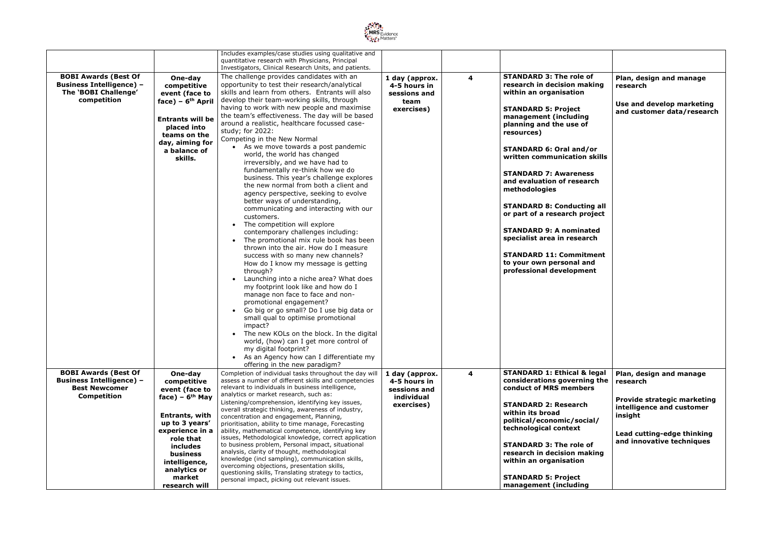

|                                                                                                       |                                                                                                                                                                         | Includes examples/case studies using qualitative and<br>quantitative research with Physicians, Principal<br>Investigators, Clinical Research Units, and patients.                                                                                                                                                                                                                                                                                                                                                                                                                                                                                                                                                                                                                                                                                                                                                                                                                                                                                                                                                                                                                                                                                                                                                                                                                                                                                                                     |                                                                      |   |                                                                                                                                                                                                                                                                                                                                                                                                                                                                                                                                                                           |                                                                                                |
|-------------------------------------------------------------------------------------------------------|-------------------------------------------------------------------------------------------------------------------------------------------------------------------------|---------------------------------------------------------------------------------------------------------------------------------------------------------------------------------------------------------------------------------------------------------------------------------------------------------------------------------------------------------------------------------------------------------------------------------------------------------------------------------------------------------------------------------------------------------------------------------------------------------------------------------------------------------------------------------------------------------------------------------------------------------------------------------------------------------------------------------------------------------------------------------------------------------------------------------------------------------------------------------------------------------------------------------------------------------------------------------------------------------------------------------------------------------------------------------------------------------------------------------------------------------------------------------------------------------------------------------------------------------------------------------------------------------------------------------------------------------------------------------------|----------------------------------------------------------------------|---|---------------------------------------------------------------------------------------------------------------------------------------------------------------------------------------------------------------------------------------------------------------------------------------------------------------------------------------------------------------------------------------------------------------------------------------------------------------------------------------------------------------------------------------------------------------------------|------------------------------------------------------------------------------------------------|
| <b>BOBI Awards (Best Of</b><br><b>Business Intelligence) -</b><br>The 'BOBI Challenge'<br>competition | One-day<br>competitive<br>event (face to<br>face) – $6th$ April<br><b>Entrants will be</b><br>placed into<br>teams on the<br>day, aiming for<br>a balance of<br>skills. | The challenge provides candidates with an<br>opportunity to test their research/analytical<br>skills and learn from others. Entrants will also<br>develop their team-working skills, through<br>having to work with new people and maximise<br>the team's effectiveness. The day will be based<br>around a realistic, healthcare focussed case-<br>study; for 2022:<br>Competing in the New Normal<br>As we move towards a post pandemic<br>world, the world has changed<br>irreversibly, and we have had to<br>fundamentally re-think how we do<br>business. This year's challenge explores<br>the new normal from both a client and<br>agency perspective, seeking to evolve<br>better ways of understanding,<br>communicating and interacting with our<br>customers.<br>• The competition will explore<br>contemporary challenges including:<br>• The promotional mix rule book has been<br>thrown into the air. How do I measure<br>success with so many new channels?<br>How do I know my message is getting<br>through?<br>Launching into a niche area? What does<br>$\bullet$<br>my footprint look like and how do I<br>manage non face to face and non-<br>promotional engagement?<br>• Go big or go small? Do I use big data or<br>small qual to optimise promotional<br>impact?<br>The new KOLs on the block. In the digital<br>world, (how) can I get more control of<br>my digital footprint?<br>As an Agency how can I differentiate my<br>offering in the new paradigm? | 1 day (approx.<br>4-5 hours in<br>sessions and<br>team<br>exercises) | 4 | <b>STANDARD 3: The role of</b><br>research in decision making<br>within an organisation<br><b>STANDARD 5: Project</b><br>management (including<br>planning and the use of<br>resources)<br><b>STANDARD 6: Oral and/or</b><br>written communication skills<br><b>STANDARD 7: Awareness</b><br>and evaluation of research<br>methodologies<br><b>STANDARD 8: Conducting all</b><br>or part of a research project<br><b>STANDARD 9: A nominated</b><br>specialist area in research<br><b>STANDARD 11: Commitment</b><br>to your own personal and<br>professional development | Plan, design and manage<br>research<br>Use and develop marketing<br>and customer data/research |
| <b>BOBI Awards (Best Of</b><br><b>Business Intelligence) -</b>                                        | One-day<br>competitive                                                                                                                                                  | Completion of individual tasks throughout the day will<br>assess a number of different skills and competencies<br>relevant to individuals in business intelligence,                                                                                                                                                                                                                                                                                                                                                                                                                                                                                                                                                                                                                                                                                                                                                                                                                                                                                                                                                                                                                                                                                                                                                                                                                                                                                                                   | 1 day (approx.<br>4-5 hours in                                       | 4 | <b>STANDARD 1: Ethical &amp; legal</b><br>considerations governing the                                                                                                                                                                                                                                                                                                                                                                                                                                                                                                    | Plan, design and manage<br>research                                                            |
| <b>Best Newcomer</b>                                                                                  | event (face to                                                                                                                                                          |                                                                                                                                                                                                                                                                                                                                                                                                                                                                                                                                                                                                                                                                                                                                                                                                                                                                                                                                                                                                                                                                                                                                                                                                                                                                                                                                                                                                                                                                                       | sessions and                                                         |   | conduct of MRS members                                                                                                                                                                                                                                                                                                                                                                                                                                                                                                                                                    |                                                                                                |
| <b>Competition</b>                                                                                    | face) – $6th$ May                                                                                                                                                       | analytics or market research, such as:                                                                                                                                                                                                                                                                                                                                                                                                                                                                                                                                                                                                                                                                                                                                                                                                                                                                                                                                                                                                                                                                                                                                                                                                                                                                                                                                                                                                                                                | individual                                                           |   |                                                                                                                                                                                                                                                                                                                                                                                                                                                                                                                                                                           | <b>Provide strategic marketing</b>                                                             |
|                                                                                                       |                                                                                                                                                                         | Listening/comprehension, identifying key issues,                                                                                                                                                                                                                                                                                                                                                                                                                                                                                                                                                                                                                                                                                                                                                                                                                                                                                                                                                                                                                                                                                                                                                                                                                                                                                                                                                                                                                                      | exercises)                                                           |   | <b>STANDARD 2: Research</b>                                                                                                                                                                                                                                                                                                                                                                                                                                                                                                                                               | intelligence and customer                                                                      |
|                                                                                                       |                                                                                                                                                                         | overall strategic thinking, awareness of industry,                                                                                                                                                                                                                                                                                                                                                                                                                                                                                                                                                                                                                                                                                                                                                                                                                                                                                                                                                                                                                                                                                                                                                                                                                                                                                                                                                                                                                                    |                                                                      |   | within its broad                                                                                                                                                                                                                                                                                                                                                                                                                                                                                                                                                          |                                                                                                |
|                                                                                                       | Entrants, with                                                                                                                                                          | concentration and engagement, Planning,                                                                                                                                                                                                                                                                                                                                                                                                                                                                                                                                                                                                                                                                                                                                                                                                                                                                                                                                                                                                                                                                                                                                                                                                                                                                                                                                                                                                                                               |                                                                      |   | political/economic/social/                                                                                                                                                                                                                                                                                                                                                                                                                                                                                                                                                | insight                                                                                        |
|                                                                                                       | up to 3 years'                                                                                                                                                          | prioritisation, ability to time manage, Forecasting                                                                                                                                                                                                                                                                                                                                                                                                                                                                                                                                                                                                                                                                                                                                                                                                                                                                                                                                                                                                                                                                                                                                                                                                                                                                                                                                                                                                                                   |                                                                      |   | technological context                                                                                                                                                                                                                                                                                                                                                                                                                                                                                                                                                     |                                                                                                |
|                                                                                                       | experience in a                                                                                                                                                         | ability, mathematical competence, identifying key                                                                                                                                                                                                                                                                                                                                                                                                                                                                                                                                                                                                                                                                                                                                                                                                                                                                                                                                                                                                                                                                                                                                                                                                                                                                                                                                                                                                                                     |                                                                      |   |                                                                                                                                                                                                                                                                                                                                                                                                                                                                                                                                                                           | Lead cutting-edge thinking                                                                     |
|                                                                                                       | role that                                                                                                                                                               | issues, Methodological knowledge, correct application                                                                                                                                                                                                                                                                                                                                                                                                                                                                                                                                                                                                                                                                                                                                                                                                                                                                                                                                                                                                                                                                                                                                                                                                                                                                                                                                                                                                                                 |                                                                      |   |                                                                                                                                                                                                                                                                                                                                                                                                                                                                                                                                                                           | and innovative techniques                                                                      |
|                                                                                                       | includes                                                                                                                                                                | to business problem, Personal impact, situational                                                                                                                                                                                                                                                                                                                                                                                                                                                                                                                                                                                                                                                                                                                                                                                                                                                                                                                                                                                                                                                                                                                                                                                                                                                                                                                                                                                                                                     |                                                                      |   | <b>STANDARD 3: The role of</b>                                                                                                                                                                                                                                                                                                                                                                                                                                                                                                                                            |                                                                                                |
|                                                                                                       | business                                                                                                                                                                | analysis, clarity of thought, methodological<br>knowledge (incl sampling), communication skills,                                                                                                                                                                                                                                                                                                                                                                                                                                                                                                                                                                                                                                                                                                                                                                                                                                                                                                                                                                                                                                                                                                                                                                                                                                                                                                                                                                                      |                                                                      |   | research in decision making                                                                                                                                                                                                                                                                                                                                                                                                                                                                                                                                               |                                                                                                |
|                                                                                                       | intelligence,                                                                                                                                                           | overcoming objections, presentation skills,                                                                                                                                                                                                                                                                                                                                                                                                                                                                                                                                                                                                                                                                                                                                                                                                                                                                                                                                                                                                                                                                                                                                                                                                                                                                                                                                                                                                                                           |                                                                      |   | within an organisation                                                                                                                                                                                                                                                                                                                                                                                                                                                                                                                                                    |                                                                                                |
|                                                                                                       | analytics or                                                                                                                                                            | questioning skills, Translating strategy to tactics,                                                                                                                                                                                                                                                                                                                                                                                                                                                                                                                                                                                                                                                                                                                                                                                                                                                                                                                                                                                                                                                                                                                                                                                                                                                                                                                                                                                                                                  |                                                                      |   |                                                                                                                                                                                                                                                                                                                                                                                                                                                                                                                                                                           |                                                                                                |
|                                                                                                       | market                                                                                                                                                                  | personal impact, picking out relevant issues.                                                                                                                                                                                                                                                                                                                                                                                                                                                                                                                                                                                                                                                                                                                                                                                                                                                                                                                                                                                                                                                                                                                                                                                                                                                                                                                                                                                                                                         |                                                                      |   | <b>STANDARD 5: Project</b>                                                                                                                                                                                                                                                                                                                                                                                                                                                                                                                                                |                                                                                                |
|                                                                                                       | research will                                                                                                                                                           |                                                                                                                                                                                                                                                                                                                                                                                                                                                                                                                                                                                                                                                                                                                                                                                                                                                                                                                                                                                                                                                                                                                                                                                                                                                                                                                                                                                                                                                                                       |                                                                      |   | management (including                                                                                                                                                                                                                                                                                                                                                                                                                                                                                                                                                     |                                                                                                |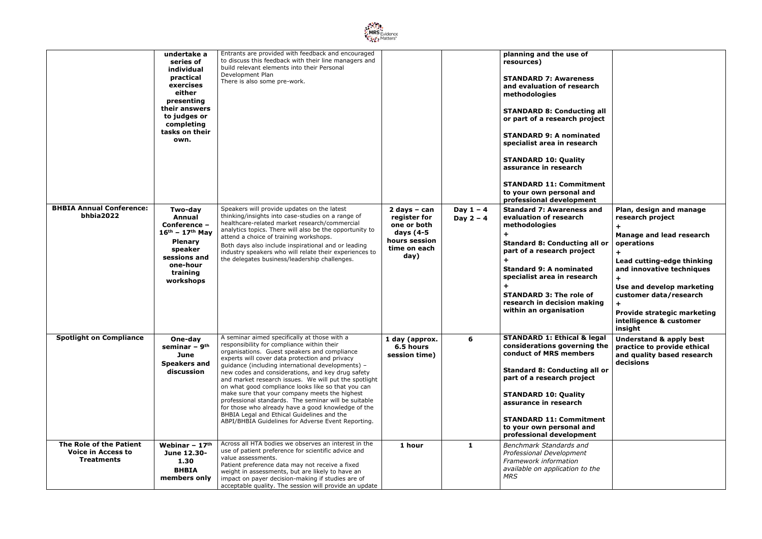

|                                                                           | undertake a<br>series of<br>individual<br>practical<br>exercises<br>either<br>presenting<br>their answers<br>to judges or<br>completing<br>tasks on their<br>own. | Entrants are provided with feedback and encouraged<br>to discuss this feedback with their line managers and<br>build relevant elements into their Personal<br>Development Plan<br>There is also some pre-work.                                                                                                                                                                                                                                                                                                                                                                                                                                                                           |                                                                                                     |                            | planning and the use of<br>resources)<br><b>STANDARD 7: Awareness</b><br>and evaluation of research<br>methodologies<br><b>STANDARD 8: Conducting all</b><br>or part of a research project<br><b>STANDARD 9: A nominated</b><br>specialist area in research<br><b>STANDARD 10: Quality</b><br>assurance in research<br><b>STANDARD 11: Commitment</b><br>to your own personal and<br>professional development |                                                                                                                                                                                                                                                                                     |
|---------------------------------------------------------------------------|-------------------------------------------------------------------------------------------------------------------------------------------------------------------|------------------------------------------------------------------------------------------------------------------------------------------------------------------------------------------------------------------------------------------------------------------------------------------------------------------------------------------------------------------------------------------------------------------------------------------------------------------------------------------------------------------------------------------------------------------------------------------------------------------------------------------------------------------------------------------|-----------------------------------------------------------------------------------------------------|----------------------------|---------------------------------------------------------------------------------------------------------------------------------------------------------------------------------------------------------------------------------------------------------------------------------------------------------------------------------------------------------------------------------------------------------------|-------------------------------------------------------------------------------------------------------------------------------------------------------------------------------------------------------------------------------------------------------------------------------------|
| <b>BHBIA Annual Conference:</b><br>bhbia2022                              | Two-day<br>Annual<br>Conference -<br>$16^{th}$ – 17 <sup>th</sup> May<br><b>Plenary</b><br>speaker<br>sessions and<br>one-hour<br>training<br>workshops           | Speakers will provide updates on the latest<br>thinking/insights into case-studies on a range of<br>healthcare-related market research/commercial<br>analytics topics. There will also be the opportunity to<br>attend a choice of training workshops.<br>Both days also include inspirational and or leading<br>industry speakers who will relate their experiences to<br>the delegates business/leadership challenges.                                                                                                                                                                                                                                                                 | $2$ days - can<br>register for<br>one or both<br>days (4-5<br>hours session<br>time on each<br>day) | Day $1 - 4$<br>Day $2 - 4$ | <b>Standard 7: Awareness and</b><br>evaluation of research<br>methodologies<br>$\ddot{}$<br><b>Standard 8: Conducting all or</b><br>part of a research project<br><b>Standard 9: A nominated</b><br>specialist area in research<br><b>STANDARD 3: The role of</b><br>research in decision making<br>within an organisation                                                                                    | Plan, design and manage<br>research project<br><b>Manage and lead research</b><br>operations<br>Lead cutting-edge thinking<br>and innovative techniques<br>Use and develop marketing<br>customer data/research<br>Provide strategic marketing<br>intelligence & customer<br>insight |
| <b>Spotlight on Compliance</b>                                            | One-day<br>seminar - 9 <sup>th</sup><br>June<br><b>Speakers and</b><br>discussion                                                                                 | A seminar aimed specifically at those with a<br>responsibility for compliance within their<br>organisations. Guest speakers and compliance<br>experts will cover data protection and privacy<br>guidance (including international developments) -<br>new codes and considerations, and key drug safety<br>and market research issues. We will put the spotlight<br>on what good compliance looks like so that you can<br>make sure that your company meets the highest<br>professional standards. The seminar will be suitable<br>for those who already have a good knowledge of the<br>BHBIA Legal and Ethical Guidelines and the<br>ABPI/BHBIA Guidelines for Adverse Event Reporting. | 1 day (approx.<br>6.5 hours<br>session time)                                                        | 6                          | <b>STANDARD 1: Ethical &amp; legal</b><br>considerations governing the<br>conduct of MRS members<br><b>Standard 8: Conducting all or</b><br>part of a research project<br><b>STANDARD 10: Quality</b><br>assurance in research<br><b>STANDARD 11: Commitment</b><br>to your own personal and<br>professional development                                                                                      | <b>Understand &amp; apply best</b><br>practice to provide ethical<br>and quality based research<br>decisions                                                                                                                                                                        |
| The Role of the Patient<br><b>Voice in Access to</b><br><b>Treatments</b> | Webinar - $17th$<br>June 12.30-<br>1.30<br><b>BHBIA</b><br>members only                                                                                           | Across all HTA bodies we observes an interest in the<br>use of patient preference for scientific advice and<br>value assessments.<br>Patient preference data may not receive a fixed<br>weight in assessments, but are likely to have an<br>impact on payer decision-making if studies are of<br>acceptable quality. The session will provide an update                                                                                                                                                                                                                                                                                                                                  | 1 hour                                                                                              | $\mathbf{1}$               | Benchmark Standards and<br>Professional Development<br>Framework information<br>available on application to the<br><b>MRS</b>                                                                                                                                                                                                                                                                                 |                                                                                                                                                                                                                                                                                     |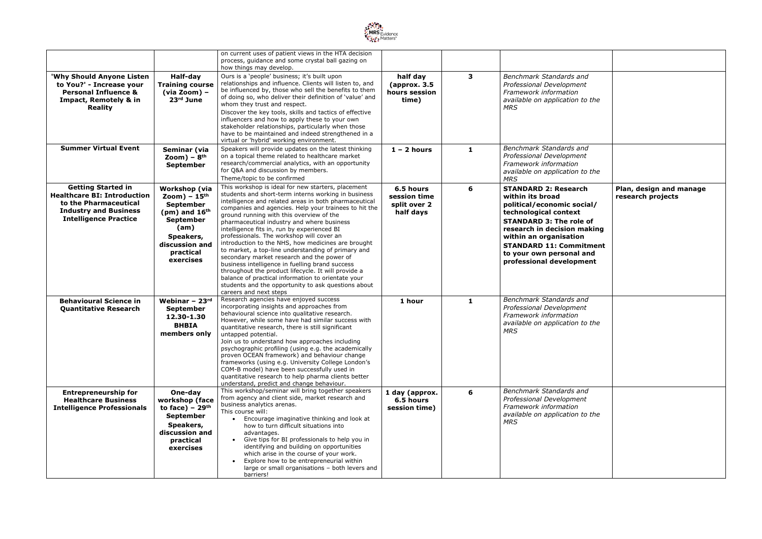

|                                                                                                                                                          |                                                                                                                                                                    | on current uses of patient views in the HTA decision<br>process, guidance and some crystal ball gazing on<br>how things may develop.                                                                                                                                                                                                                                                                                                                                                                                                                                                                                                                                                                                                                                                                                         |                                                        |              |                                                                                                                                                                                                                                                                                             |                                              |
|----------------------------------------------------------------------------------------------------------------------------------------------------------|--------------------------------------------------------------------------------------------------------------------------------------------------------------------|------------------------------------------------------------------------------------------------------------------------------------------------------------------------------------------------------------------------------------------------------------------------------------------------------------------------------------------------------------------------------------------------------------------------------------------------------------------------------------------------------------------------------------------------------------------------------------------------------------------------------------------------------------------------------------------------------------------------------------------------------------------------------------------------------------------------------|--------------------------------------------------------|--------------|---------------------------------------------------------------------------------------------------------------------------------------------------------------------------------------------------------------------------------------------------------------------------------------------|----------------------------------------------|
| 'Why Should Anyone Listen<br>to You?' - Increase your<br><b>Personal Influence &amp;</b><br>Impact, Remotely & in<br><b>Reality</b>                      | Half-day<br><b>Training course</b><br>(via Zoom) -<br>$23rd$ June                                                                                                  | Ours is a 'people' business; it's built upon<br>relationships and influence. Clients will listen to, and<br>be influenced by, those who sell the benefits to them<br>of doing so, who deliver their definition of 'value' and<br>whom they trust and respect.<br>Discover the key tools, skills and tactics of effective                                                                                                                                                                                                                                                                                                                                                                                                                                                                                                     | half day<br>(approx. 3.5)<br>hours session<br>time)    | 3            | Benchmark Standards and<br>Professional Development<br>Framework information<br>available on application to the<br><b>MRS</b>                                                                                                                                                               |                                              |
|                                                                                                                                                          |                                                                                                                                                                    | influencers and how to apply these to your own<br>stakeholder relationships, particularly when those<br>have to be maintained and indeed strengthened in a<br>virtual or 'hybrid' working environment.                                                                                                                                                                                                                                                                                                                                                                                                                                                                                                                                                                                                                       |                                                        |              |                                                                                                                                                                                                                                                                                             |                                              |
| <b>Summer Virtual Event</b>                                                                                                                              | Seminar (via<br>$\mathsf{Zoom}) - \mathsf{8}^{\text{th}}$<br><b>September</b>                                                                                      | Speakers will provide updates on the latest thinking<br>on a topical theme related to healthcare market<br>research/commercial analytics, with an opportunity<br>for Q&A and discussion by members.<br>Theme/topic to be confirmed                                                                                                                                                                                                                                                                                                                                                                                                                                                                                                                                                                                           | $1 - 2$ hours                                          | 1            | <b>Benchmark Standards and</b><br>Professional Development<br>Framework information<br>available on application to the<br><b>MRS</b>                                                                                                                                                        |                                              |
| <b>Getting Started in</b><br><b>Healthcare BI: Introduction</b><br>to the Pharmaceutical<br><b>Industry and Business</b><br><b>Intelligence Practice</b> | <b>Workshop (via</b><br>Zoom) – $15th$<br><b>September</b><br>(pm) and $16th$<br><b>September</b><br>(am)<br>Speakers,<br>discussion and<br>practical<br>exercises | This workshop is ideal for new starters, placement<br>students and short-term interns working in business<br>intelligence and related areas in both pharmaceutical<br>companies and agencies. Help your trainees to hit the<br>ground running with this overview of the<br>pharmaceutical industry and where business<br>intelligence fits in, run by experienced BI<br>professionals. The workshop will cover an<br>introduction to the NHS, how medicines are brought<br>to market, a top-line understanding of primary and<br>secondary market research and the power of<br>business intelligence in fuelling brand success<br>throughout the product lifecycle. It will provide a<br>balance of practical information to orientate your<br>students and the opportunity to ask questions about<br>careers and next steps | 6.5 hours<br>session time<br>split over 2<br>half days | 6            | <b>STANDARD 2: Research</b><br>within its broad<br>political/economic social/<br>technological context<br><b>STANDARD 3: The role of</b><br>research in decision making<br>within an organisation<br><b>STANDARD 11: Commitment</b><br>to your own personal and<br>professional development | Plan, design and manage<br>research projects |
| <b>Behavioural Science in</b><br><b>Quantitative Research</b>                                                                                            | Webinar - $23rd$<br><b>September</b><br>12.30-1.30<br><b>BHBIA</b><br>members only                                                                                 | Research agencies have enjoyed success<br>incorporating insights and approaches from<br>behavioural science into qualitative research.<br>However, while some have had similar success with<br>quantitative research, there is still significant<br>untapped potential.<br>Join us to understand how approaches including<br>psychographic profiling (using e.g. the academically<br>proven OCEAN framework) and behaviour change<br>frameworks (using e.g. University College London's<br>COM-B model) have been successfully used in<br>quantitative research to help pharma clients better<br>understand, predict and change behaviour.                                                                                                                                                                                   | 1 hour                                                 | $\mathbf{1}$ | Benchmark Standards and<br>Professional Development<br>Framework information<br>available on application to the<br><b>MRS</b>                                                                                                                                                               |                                              |
| <b>Entrepreneurship for</b><br><b>Healthcare Business</b><br><b>Intelligence Professionals</b>                                                           | One-day<br>workshop (face<br>to face) – $29th$<br><b>September</b><br>Speakers,<br>discussion and<br>practical<br>exercises                                        | This workshop/seminar will bring together speakers<br>from agency and client side, market research and<br>business analytics arenas.<br>This course will:<br>Encourage imaginative thinking and look at<br>how to turn difficult situations into<br>advantages.<br>Give tips for BI professionals to help you in<br>identifying and building on opportunities<br>which arise in the course of your work.<br>Explore how to be entrepreneurial within<br>large or small organisations - both levers and<br>barriers!                                                                                                                                                                                                                                                                                                          | 1 day (approx.<br>6.5 hours<br>session time)           | 6            | <b>Benchmark Standards and</b><br>Professional Development<br>Framework information<br>available on application to the<br><b>MRS</b>                                                                                                                                                        |                                              |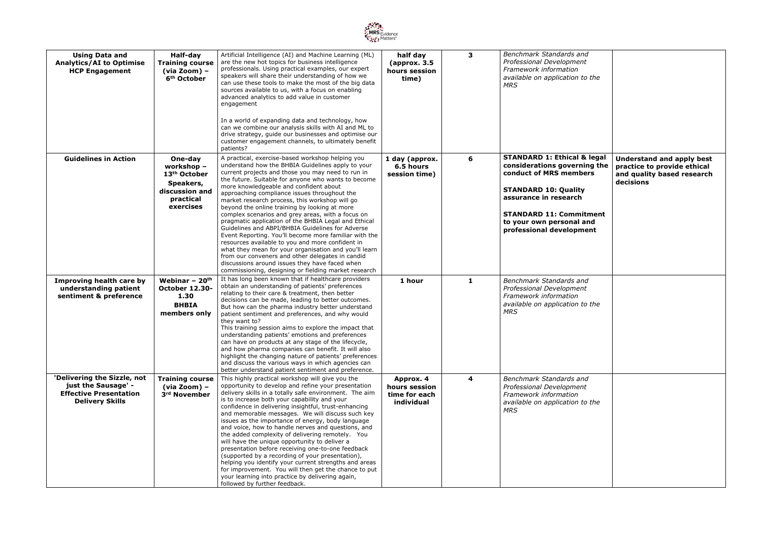

| <b>Using Data and</b><br><b>Analytics/AI to Optimise</b><br><b>HCP Engagement</b>                             | Half-day<br><b>Training course</b><br>$(via Zoom)$ -<br>6 <sup>th</sup> October                            | Artificial Intelligence (AI) and Machine Learning (ML)<br>are the new hot topics for business intelligence<br>professionals. Using practical examples, our expert<br>speakers will share their understanding of how we<br>can use these tools to make the most of the big data<br>sources available to us, with a focus on enabling<br>advanced analytics to add value in customer<br>engagement<br>In a world of expanding data and technology, how<br>can we combine our analysis skills with AI and ML to<br>drive strategy, guide our businesses and optimise our<br>customer engagement channels, to ultimately benefit<br>patients?                                                                                                                                                                                                                                                                           | half day<br>(approx. 3.5)<br>hours session<br>time)       | 3            | <b>Benchmark Standards and</b><br>Professional Development<br>Framework information<br>available on application to the<br><b>MRS</b>                                                                                                               |                                                                                                     |
|---------------------------------------------------------------------------------------------------------------|------------------------------------------------------------------------------------------------------------|---------------------------------------------------------------------------------------------------------------------------------------------------------------------------------------------------------------------------------------------------------------------------------------------------------------------------------------------------------------------------------------------------------------------------------------------------------------------------------------------------------------------------------------------------------------------------------------------------------------------------------------------------------------------------------------------------------------------------------------------------------------------------------------------------------------------------------------------------------------------------------------------------------------------|-----------------------------------------------------------|--------------|----------------------------------------------------------------------------------------------------------------------------------------------------------------------------------------------------------------------------------------------------|-----------------------------------------------------------------------------------------------------|
| <b>Guidelines in Action</b>                                                                                   | One-day<br>workshop -<br>13 <sup>th</sup> October<br>Speakers,<br>discussion and<br>practical<br>exercises | A practical, exercise-based workshop helping you<br>understand how the BHBIA Guidelines apply to your<br>current projects and those you may need to run in<br>the future. Suitable for anyone who wants to become<br>more knowledgeable and confident about<br>approaching compliance issues throughout the<br>market research process, this workshop will go<br>beyond the online training by looking at more<br>complex scenarios and grey areas, with a focus on<br>pragmatic application of the BHBIA Legal and Ethical<br>Guidelines and ABPI/BHBIA Guidelines for Adverse<br>Event Reporting. You'll become more familiar with the<br>resources available to you and more confident in<br>what they mean for your organisation and you'll learn<br>from our conveners and other delegates in candid<br>discussions around issues they have faced when<br>commissioning, designing or fielding market research | 1 day (approx.<br>6.5 hours<br>session time)              | 6            | <b>STANDARD 1: Ethical &amp; legal</b><br>considerations governing the<br>conduct of MRS members<br><b>STANDARD 10: Quality</b><br>assurance in research<br><b>STANDARD 11: Commitment</b><br>to your own personal and<br>professional development | Understand and apply best<br>practice to provide ethical<br>and quality based research<br>decisions |
| Improving health care by<br>understanding patient<br>sentiment & preference                                   | Webinar $-20$ <sup>th</sup><br><b>October 12.30-</b><br>1.30<br><b>BHBIA</b><br>members only               | It has long been known that if healthcare providers<br>obtain an understanding of patients' preferences<br>relating to their care & treatment, then better<br>decisions can be made, leading to better outcomes.<br>But how can the pharma industry better understand<br>patient sentiment and preferences, and why would<br>they want to?<br>This training session aims to explore the impact that<br>understanding patients' emotions and preferences<br>can have on products at any stage of the lifecycle,<br>and how pharma companies can benefit. It will also<br>highlight the changing nature of patients' preferences<br>and discuss the various ways in which agencies can<br>better understand patient sentiment and preference.                                                                                                                                                                         | 1 hour                                                    | $\mathbf{1}$ | Benchmark Standards and<br>Professional Development<br>Framework information<br>available on application to the<br><b>MRS</b>                                                                                                                      |                                                                                                     |
| 'Delivering the Sizzle, not<br>just the Sausage' -<br><b>Effective Presentation</b><br><b>Delivery Skills</b> | <b>Training course</b><br>$(via Zoom)$ –<br>3rd November                                                   | This highly practical workshop will give you the<br>opportunity to develop and refine your presentation<br>delivery skills in a totally safe environment. The aim<br>is to increase both your capability and your<br>confidence in delivering insightful, trust-enhancing<br>and memorable messages. We will discuss such key<br>issues as the importance of energy, body language<br>and voice, how to handle nerves and questions, and<br>the added complexity of delivering remotely. You<br>will have the unique opportunity to deliver a<br>presentation before receiving one-to-one feedback<br>(supported by a recording of your presentation),<br>helping you identify your current strengths and areas<br>for improvement. You will then get the chance to put<br>your learning into practice by delivering again,<br>followed by further feedback.                                                        | Approx. 4<br>hours session<br>time for each<br>individual | 4            | <b>Benchmark Standards and</b><br>Professional Development<br>Framework information<br>available on application to the<br><b>MRS</b>                                                                                                               |                                                                                                     |